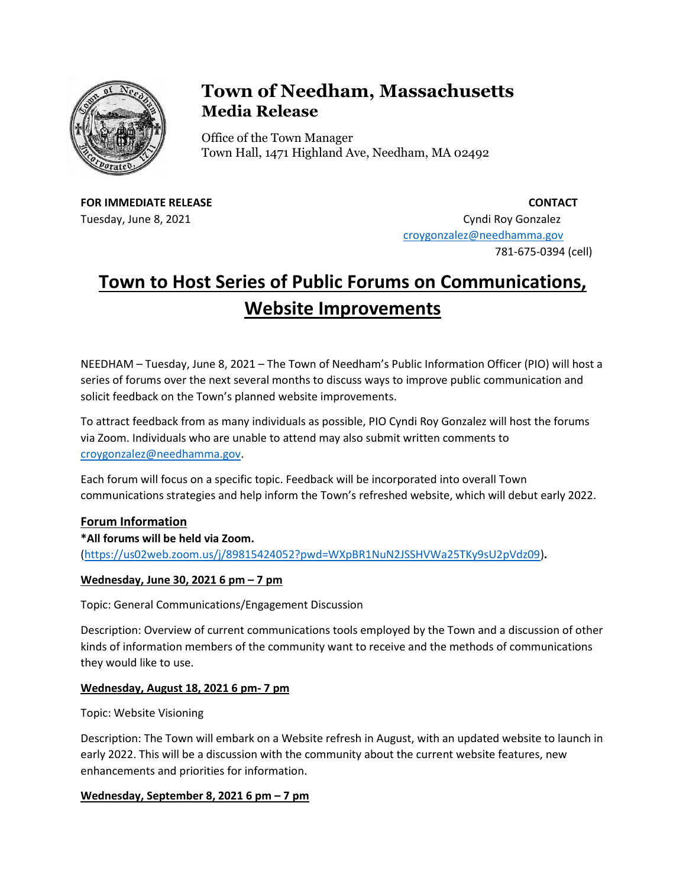

# **Town of Needham, Massachusetts Media Release**

Office of the Town Manager Town Hall, 1471 Highland Ave, Needham, MA 02492

**FOR IMMEDIATE RELEASE CONTACT**

Tuesday, June 8, 2021 Cyndi Roy Gonzalez [croygonzalez@needhamma.gov](mailto:croygonzalez@needhamma.gov) 781-675-0394 (cell)

# **Town to Host Series of Public Forums on Communications, Website Improvements**

NEEDHAM – Tuesday, June 8, 2021 – The Town of Needham's Public Information Officer (PIO) will host a series of forums over the next several months to discuss ways to improve public communication and solicit feedback on the Town's planned website improvements.

To attract feedback from as many individuals as possible, PIO Cyndi Roy Gonzalez will host the forums via Zoom. Individuals who are unable to attend may also submit written comments to [croygonzalez@needhamma.gov.](mailto:croygonzalez@needhamma.gov)

Each forum will focus on a specific topic. Feedback will be incorporated into overall Town communications strategies and help inform the Town's refreshed website, which will debut early 2022.

## **Forum Information**

**\*All forums will be held via Zoom.** [\(https://us02web.zoom.us/j/89815424052?pwd=WXpBR1NuN2JSSHVWa25TKy9sU2pVdz09\)](https://us02web.zoom.us/j/89815424052?pwd=WXpBR1NuN2JSSHVWa25TKy9sU2pVdz09)**.**

## **Wednesday, June 30, 2021 6 pm – 7 pm**

Topic: General Communications/Engagement Discussion

Description: Overview of current communications tools employed by the Town and a discussion of other kinds of information members of the community want to receive and the methods of communications they would like to use.

#### **Wednesday, August 18, 2021 6 pm- 7 pm**

Topic: Website Visioning

Description: The Town will embark on a Website refresh in August, with an updated website to launch in early 2022. This will be a discussion with the community about the current website features, new enhancements and priorities for information.

#### **Wednesday, September 8, 2021 6 pm – 7 pm**